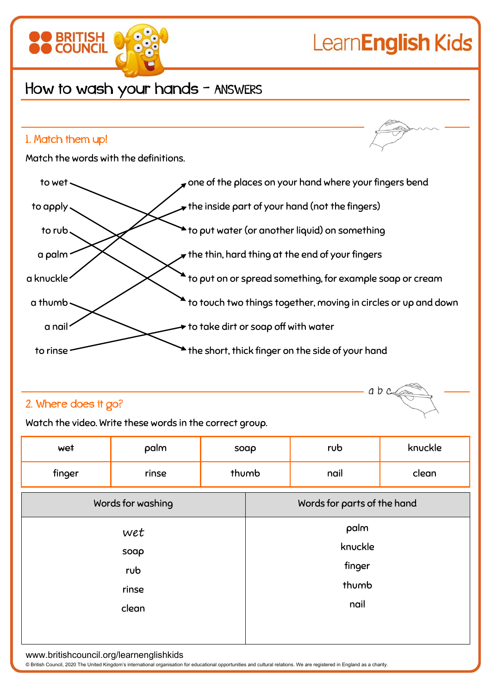

# How to wash your hands - ANSWERS

#### 1. Match them up!

**BRITISH** 

Match the words with the definitions.



#### 2. Where does it go?

 $ab$   $c_{d}$ 

Watch the video. Write these words in the correct group.

| wet                                  | palm  | soap  |                                            | rub  | knuckle |
|--------------------------------------|-------|-------|--------------------------------------------|------|---------|
| finger                               | rinse | thumb |                                            | nail | clean   |
| Words for washing                    |       |       | Words for parts of the hand                |      |         |
| wet<br>soap<br>rub<br>rinse<br>clean |       |       | palm<br>knuckle<br>finger<br>thumb<br>nail |      |         |

www.britishcouncil.org/learnenglishkids

© British Council, 2020 The United Kingdom's international organisation for educational opportunities and cultural relations. We are registered in England as a charity.